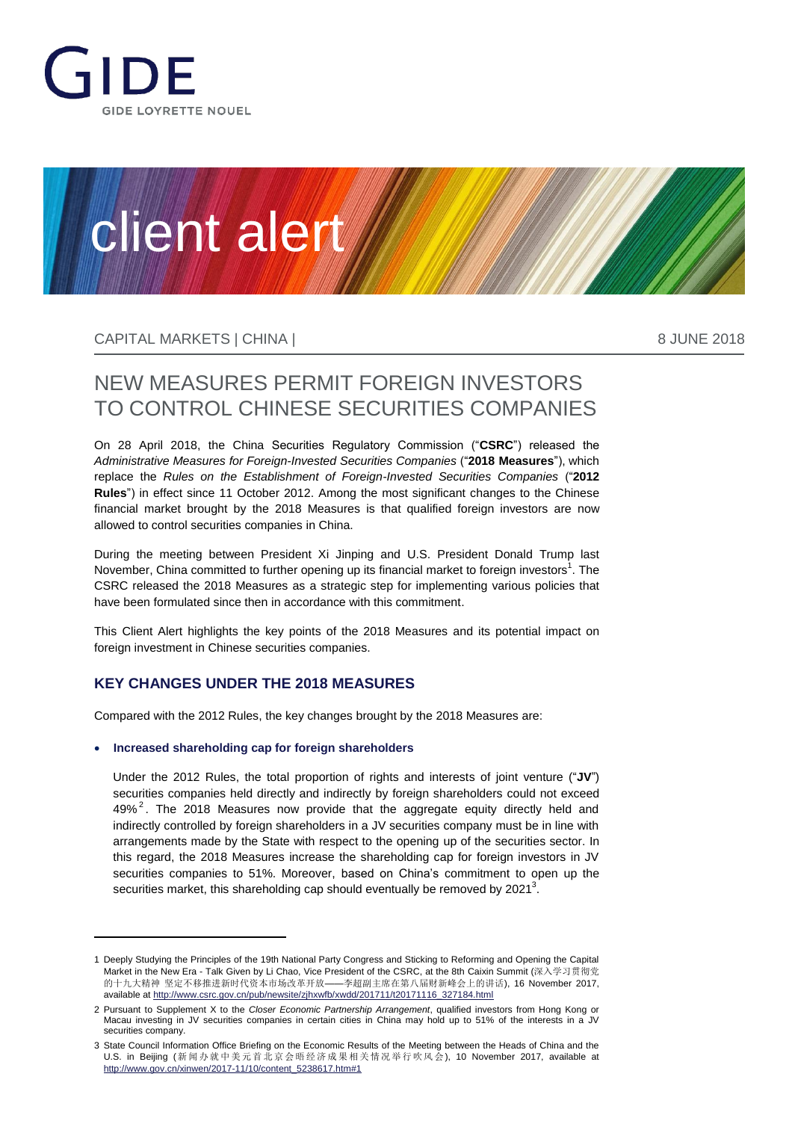

# client alert

CAPITAL MARKETS | CHINA | 8 ANN 10 ANN 10 ANN 10 ANN 10 ANN 10 ANN 10 ANN 10 ANN 10 ANN 10 ANN 10 ANN 10 ANN 1

# NEW MEASURES PERMIT FOREIGN INVESTORS TO CONTROL CHINESE SECURITIES COMPANIES

On 28 April 2018, the China Securities Regulatory Commission ("**CSRC**") released the *Administrative Measures for Foreign-Invested Securities Companies* ("**2018 Measures**"), which replace the *Rules on the Establishment of Foreign-Invested Securities Companies* ("**2012 Rules**") in effect since 11 October 2012. Among the most significant changes to the Chinese financial market brought by the 2018 Measures is that qualified foreign investors are now allowed to control securities companies in China.

During the meeting between President Xi Jinping and U.S. President Donald Trump last November, China committed to further opening up its financial market to foreign investors<sup>1</sup>. The CSRC released the 2018 Measures as a strategic step for implementing various policies that have been formulated since then in accordance with this commitment.

This Client Alert highlights the key points of the 2018 Measures and its potential impact on foreign investment in Chinese securities companies.

### **KEY CHANGES UNDER THE 2018 MEASURES**

Compared with the 2012 Rules, the key changes brought by the 2018 Measures are:

#### **Increased shareholding cap for foreign shareholders**

Under the 2012 Rules, the total proportion of rights and interests of joint venture ("**JV**") securities companies held directly and indirectly by foreign shareholders could not exceed 49% $^2$ . The 2018 Measures now provide that the aggregate equity directly held and indirectly controlled by foreign shareholders in a JV securities company must be in line with arrangements made by the State with respect to the opening up of the securities sector. In this regard, the 2018 Measures increase the shareholding cap for foreign investors in JV securities companies to 51%. Moreover, based on China's commitment to open up the securities market, this shareholding cap should eventually be removed by 2021<sup>3</sup>.

<sup>1</sup> Deeply Studying the Principles of the 19th National Party Congress and Sticking to Reforming and Opening the Capital Market in the New Era - Talk Given by Li Chao, Vice President of the CSRC, at the 8th Caixin Summit (深入学习贯彻党 的十九大精神 坚定不移推进新时代资本市场改革开放——李超副主席在第八届财新峰会上的讲话), 16 November 2017, available at [http://www.csrc.gov.cn/pub/newsite/zjhxwfb/xwdd/201711/t20171116\\_327184.html](http://www.csrc.gov.cn/pub/newsite/zjhxwfb/xwdd/201711/t20171116_327184.html)

<sup>2</sup> Pursuant to Supplement X to the *Closer Economic Partnership Arrangement*, qualified investors from Hong Kong or Macau investing in JV securities companies in certain cities in China may hold up to 51% of the interests in a JV securities company.

<sup>3</sup> State Council Information Office Briefing on the Economic Results of the Meeting between the Heads of China and the U.S. in Beijing (新闻办就中美元首北京会晤经济成果相关情况举行吹风会), 10 November 2017, available at [http://www.gov.cn/xinwen/2017-11/10/content\\_5238617.htm#1](http://www.gov.cn/xinwen/2017-11/10/content_5238617.htm%231)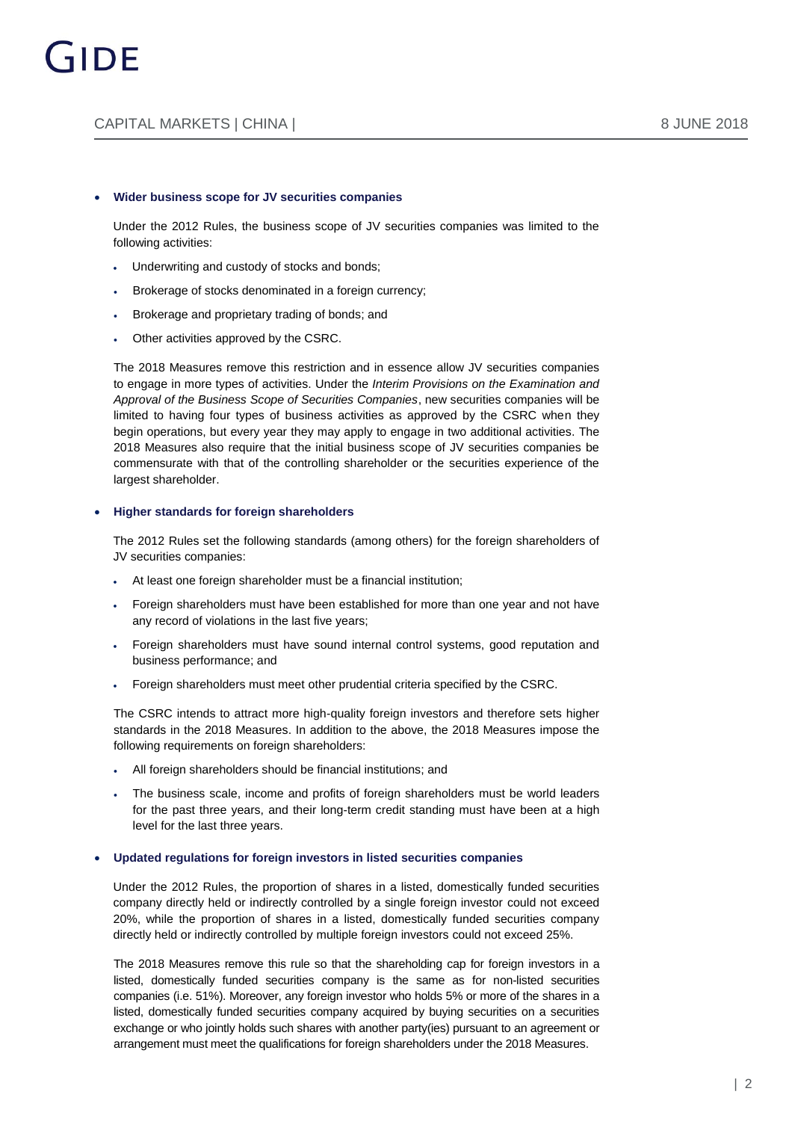#### **Wider business scope for JV securities companies**

Under the 2012 Rules, the business scope of JV securities companies was limited to the following activities:

- Underwriting and custody of stocks and bonds;
- Brokerage of stocks denominated in a foreign currency;
- Brokerage and proprietary trading of bonds; and
- Other activities approved by the CSRC.

The 2018 Measures remove this restriction and in essence allow JV securities companies to engage in more types of activities. Under the *Interim Provisions on the Examination and Approval of the Business Scope of Securities Companies*, new securities companies will be limited to having four types of business activities as approved by the CSRC when they begin operations, but every year they may apply to engage in two additional activities. The 2018 Measures also require that the initial business scope of JV securities companies be commensurate with that of the controlling shareholder or the securities experience of the largest shareholder.

#### **Higher standards for foreign shareholders**

The 2012 Rules set the following standards (among others) for the foreign shareholders of JV securities companies:

- At least one foreign shareholder must be a financial institution;
- Foreign shareholders must have been established for more than one year and not have any record of violations in the last five years;
- Foreign shareholders must have sound internal control systems, good reputation and business performance; and
- Foreign shareholders must meet other prudential criteria specified by the CSRC.

The CSRC intends to attract more high-quality foreign investors and therefore sets higher standards in the 2018 Measures. In addition to the above, the 2018 Measures impose the following requirements on foreign shareholders:

- All foreign shareholders should be financial institutions; and
- The business scale, income and profits of foreign shareholders must be world leaders for the past three years, and their long-term credit standing must have been at a high level for the last three years.

#### **Updated regulations for foreign investors in listed securities companies**

Under the 2012 Rules, the proportion of shares in a listed, domestically funded securities company directly held or indirectly controlled by a single foreign investor could not exceed 20%, while the proportion of shares in a listed, domestically funded securities company directly held or indirectly controlled by multiple foreign investors could not exceed 25%.

The 2018 Measures remove this rule so that the shareholding cap for foreign investors in a listed, domestically funded securities company is the same as for non-listed securities companies (i.e. 51%). Moreover, any foreign investor who holds 5% or more of the shares in a listed, domestically funded securities company acquired by buying securities on a securities exchange or who jointly holds such shares with another party(ies) pursuant to an agreement or arrangement must meet the qualifications for foreign shareholders under the 2018 Measures.